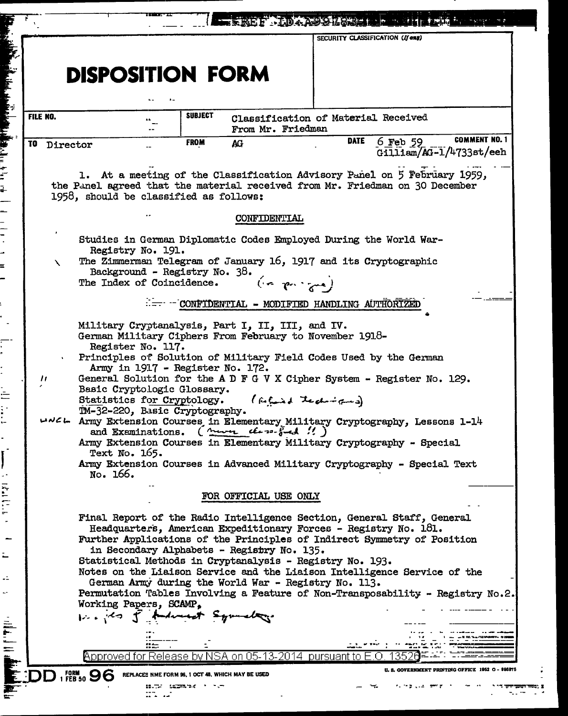|                   |                                                                                                                                           |                                                              |                                                  | SECURITY CLASSIFICATION (If any)                                  |                                                                                                                                                          |
|-------------------|-------------------------------------------------------------------------------------------------------------------------------------------|--------------------------------------------------------------|--------------------------------------------------|-------------------------------------------------------------------|----------------------------------------------------------------------------------------------------------------------------------------------------------|
|                   |                                                                                                                                           |                                                              |                                                  |                                                                   |                                                                                                                                                          |
|                   | <b>DISPOSITION FORM</b>                                                                                                                   |                                                              |                                                  |                                                                   |                                                                                                                                                          |
|                   |                                                                                                                                           |                                                              |                                                  |                                                                   |                                                                                                                                                          |
|                   |                                                                                                                                           |                                                              |                                                  |                                                                   |                                                                                                                                                          |
| FILE NO.          |                                                                                                                                           | <b>SUBJECT</b>                                               | From Mr. Friedman                                | Classification of Material Received                               |                                                                                                                                                          |
| TO<br>Director    |                                                                                                                                           | <b>FROM</b>                                                  | AG                                               | <b>DATE</b>                                                       | <b>COMMENT NO. 1</b><br>$6$ Feb 59<br>$G$ illiam/AG-1/4733st/eeh                                                                                         |
|                   | 1958, should be classified as follows:                                                                                                    |                                                              |                                                  |                                                                   | 1. At a meeting of the Classification Advisory Panel on 5 February 1959,<br>the Panel agreed that the material received from Mr. Friedman on 30 December |
|                   |                                                                                                                                           |                                                              | CONFIDENTIAL                                     |                                                                   |                                                                                                                                                          |
|                   |                                                                                                                                           |                                                              |                                                  | Studies in German Diplomatic Codes Employed During the World War- |                                                                                                                                                          |
| N                 | Registry No. 191.                                                                                                                         |                                                              |                                                  | The Zimmerman Telegram of January 16, 1917 and its Cryptographic  |                                                                                                                                                          |
|                   |                                                                                                                                           | Background - Registry No. 38.<br>The Index of Coincidence.   |                                                  | $(n - p_0, \frac{1}{6})$                                          |                                                                                                                                                          |
|                   |                                                                                                                                           |                                                              |                                                  |                                                                   |                                                                                                                                                          |
|                   |                                                                                                                                           |                                                              |                                                  | -- CONFIDENTIAL - MODIFIED HANDLING AUTHORIZED                    |                                                                                                                                                          |
|                   |                                                                                                                                           |                                                              | Military Cryptanalysis, Part I, II, III, and IV. | German Military Ciphers From February to November 1918-           |                                                                                                                                                          |
|                   | Register No. 117.                                                                                                                         |                                                              |                                                  | Principles of Solution of Military Field Codes Used by the German |                                                                                                                                                          |
|                   |                                                                                                                                           | Army in 1917 - Register No. 172.                             |                                                  |                                                                   |                                                                                                                                                          |
| $^{\prime\prime}$ |                                                                                                                                           | Basic Cryptologic Glossary.                                  |                                                  |                                                                   | General Solution for the A D F G V X Cipher System - Register No. 129.                                                                                   |
|                   |                                                                                                                                           | Statistics for Cryptology.<br>IM-32-220, Basic Cryptography. |                                                  | ( fatured techniques)                                             |                                                                                                                                                          |
|                   | and Examinations.                                                                                                                         |                                                              | $(muvu$ there $f-d$ .                            |                                                                   | Army Extension Courses in Elementary Military Cryptography, Lessons 1-14                                                                                 |
|                   |                                                                                                                                           |                                                              |                                                  |                                                                   | Army Extension Courses in Elementary Military Cryptography - Special                                                                                     |
|                   | Text No. 165.<br>No. 166.                                                                                                                 |                                                              |                                                  |                                                                   | Army Extension Courses in Advanced Military Cryptography - Special Text                                                                                  |
|                   |                                                                                                                                           |                                                              | FOR OFFICIAL USE ONLY                            |                                                                   |                                                                                                                                                          |
|                   |                                                                                                                                           |                                                              |                                                  |                                                                   |                                                                                                                                                          |
|                   | Final Report of the Radio Intelligence Section, General Staff, General<br>Headquarters, American Expeditionary Forces - Registry No. 181. |                                                              |                                                  |                                                                   |                                                                                                                                                          |
|                   |                                                                                                                                           |                                                              | in Secondary Alphabets - Registry No. 135.       |                                                                   | Further Applications of the Principles of Indirect Symmetry of Position                                                                                  |
|                   |                                                                                                                                           |                                                              |                                                  | Statistical Methods in Cryptanalysis - Registry No. 193.          |                                                                                                                                                          |
|                   |                                                                                                                                           |                                                              |                                                  | German Army during the World War - Registry No. 113.              | Notes on the Liaison Service and the Liaison Intelligence Service of the                                                                                 |
|                   | Working Papers, SCAMP.                                                                                                                    |                                                              |                                                  |                                                                   | Permutation Tables Involving a Feature of Non-Transposability - Registry No.2.                                                                           |
|                   |                                                                                                                                           | in the of holomet Symalogy                                   |                                                  |                                                                   |                                                                                                                                                          |
|                   |                                                                                                                                           |                                                              |                                                  |                                                                   |                                                                                                                                                          |
|                   |                                                                                                                                           |                                                              |                                                  | Approved for Release by NSA on 05-13-2014 pursuant to             |                                                                                                                                                          |
|                   | $1$ FEB 50 $96$<br>REPLACES NME FORM 96, 1 OCT 48. WHICH MAY BE USED                                                                      |                                                              |                                                  |                                                                   | <b>U. S. GOVERNMENT PRINTING OFFICE 1952 O</b>                                                                                                           |